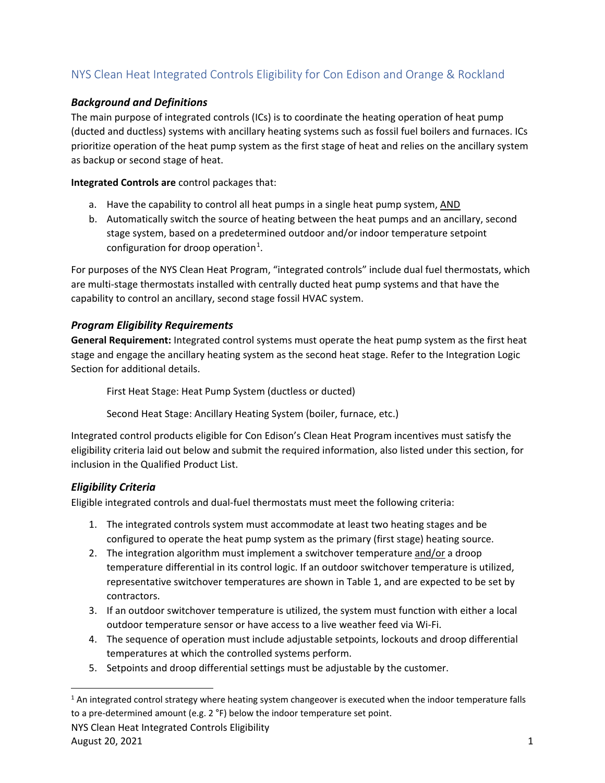# NYS Clean Heat Integrated Controls Eligibility for Con Edison and Orange & Rockland

### *Background and Definitions*

The main purpose of integrated controls (ICs) is to coordinate the heating operation of heat pump (ducted and ductless) systems with ancillary heating systems such as fossil fuel boilers and furnaces. ICs prioritize operation of the heat pump system as the first stage of heat and relies on the ancillary system as backup or second stage of heat.

**Integrated Controls are** control packages that:

- a. Have the capability to control all heat pumps in a single heat pump system, AND
- b. Automatically switch the source of heating between the heat pumps and an ancillary, second stage system, based on a predetermined outdoor and/or indoor temperature setpoint configuration for droop operation<sup>1</sup>.

For purposes of the NYS Clean Heat Program, "integrated controls" include dual fuel thermostats, which are multi-stage thermostats installed with centrally ducted heat pump systems and that have the capability to control an ancillary, second stage fossil HVAC system.

#### *Program Eligibility Requirements*

**General Requirement:** Integrated control systems must operate the heat pump system as the first heat stage and engage the ancillary heating system as the second heat stage. Refer to the Integration Logic Section for additional details.

First Heat Stage: Heat Pump System (ductless or ducted)

Second Heat Stage: Ancillary Heating System (boiler, furnace, etc.)

Integrated control products eligible for Con Edison's Clean Heat Program incentives must satisfy the eligibility criteria laid out below and submit the required information, also listed under this section, for inclusion in the Qualified Product List.

### *Eligibility Criteria*

Eligible integrated controls and dual-fuel thermostats must meet the following criteria:

- 1. The integrated controls system must accommodate at least two heating stages and be configured to operate the heat pump system as the primary (first stage) heating source.
- 2. The integration algorithm must implement a switchover temperature and/or a droop temperature differential in its control logic. If an outdoor switchover temperature is utilized, representative switchover temperatures are shown in Table 1, and are expected to be set by contractors.
- 3. If an outdoor switchover temperature is utilized, the system must function with either a local outdoor temperature sensor or have access to a live weather feed via Wi-Fi.
- 4. The sequence of operation must include adjustable setpoints, lockouts and droop differential temperatures at which the controlled systems perform.
- 5. Setpoints and droop differential settings must be adjustable by the customer.

NYS Clean Heat Integrated Controls Eligibility August 20, 2021  $\frac{1}{2}$ 

 $1$  An integrated control strategy where heating system changeover is executed when the indoor temperature falls to a pre-determined amount (e.g.  $2^{\circ}F$ ) below the indoor temperature set point.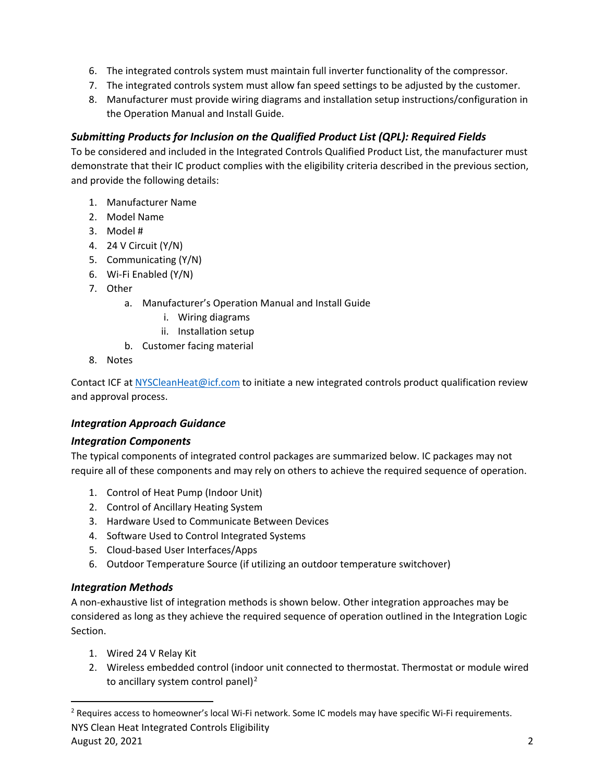- 6. The integrated controls system must maintain full inverter functionality of the compressor.
- 7. The integrated controls system must allow fan speed settings to be adjusted by the customer.
- 8. Manufacturer must provide wiring diagrams and installation setup instructions/configuration in the Operation Manual and Install Guide.

## *Submitting Products for Inclusion on the Qualified Product List (QPL): Required Fields*

To be considered and included in the Integrated Controls Qualified Product List, the manufacturer must demonstrate that their IC product complies with the eligibility criteria described in the previous section, and provide the following details:

- 1. Manufacturer Name
- 2. Model Name
- 3. Model #
- 4. 24 V Circuit (Y/N)
- 5. Communicating (Y/N)
- 6. Wi-Fi Enabled (Y/N)
- 7. Other
	- a. Manufacturer's Operation Manual and Install Guide
		- i. Wiring diagrams
		- ii. Installation setup
	- b. Customer facing material
- 8. Notes

Contact ICF at NYSCleanHeat@icf.com to initiate a new integrated controls product qualification review and approval process.

### *Integration Approach Guidance*

### *Integration Components*

The typical components of integrated control packages are summarized below. IC packages may not require all of these components and may rely on others to achieve the required sequence of operation.

- 1. Control of Heat Pump (Indoor Unit)
- 2. Control of Ancillary Heating System
- 3. Hardware Used to Communicate Between Devices
- 4. Software Used to Control Integrated Systems
- 5. Cloud-based User Interfaces/Apps
- 6. Outdoor Temperature Source (if utilizing an outdoor temperature switchover)

### *Integration Methods*

A non-exhaustive list of integration methods is shown below. Other integration approaches may be considered as long as they achieve the required sequence of operation outlined in the Integration Logic Section.

- 1. Wired 24 V Relay Kit
- 2. Wireless embedded control (indoor unit connected to thermostat. Thermostat or module wired to ancillary system control panel)<sup>2</sup>

NYS Clean Heat Integrated Controls Eligibility August 20, 2021 2 <sup>2</sup> Requires access to homeowner's local Wi-Fi network. Some IC models may have specific Wi-Fi requirements.